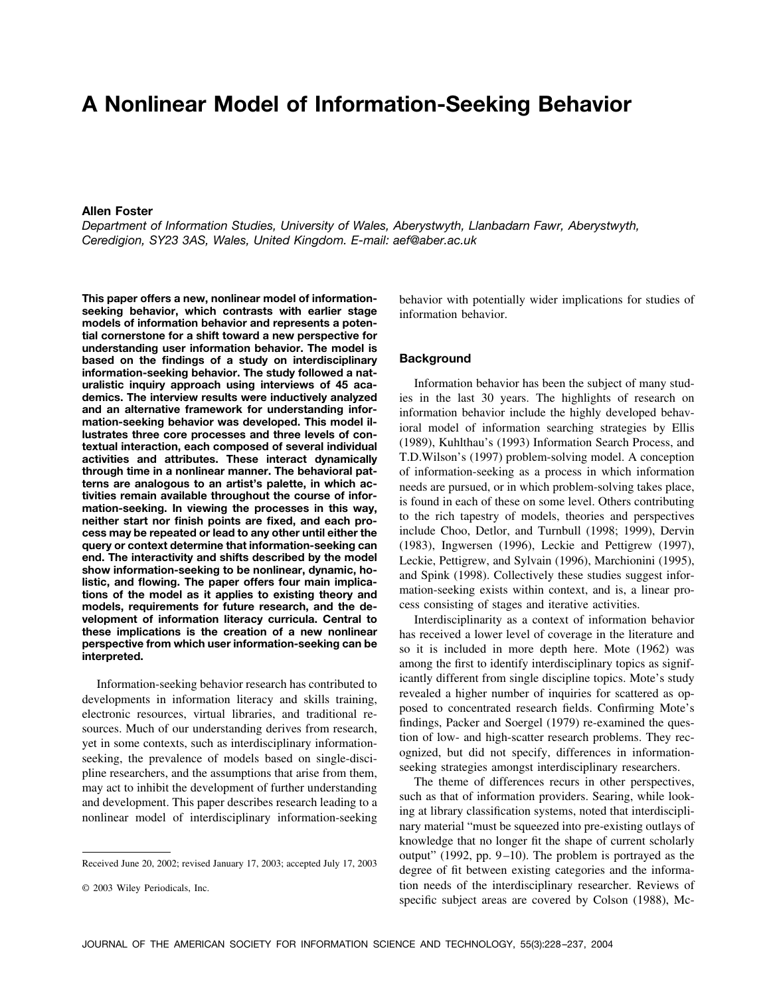# **A Nonlinear Model of Information-Seeking Behavior**

#### **Allen Foster**

*Department of Information Studies, University of Wales, Aberystwyth, Llanbadarn Fawr, Aberystwyth, Ceredigion, SY23 3AS, Wales, United Kingdom. E-mail: aef@aber.ac.uk*

**This paper offers a new, nonlinear model of informationseeking behavior, which contrasts with earlier stage models of information behavior and represents a potential cornerstone for a shift toward a new perspective for understanding user information behavior. The model is based on the findings of a study on interdisciplinary information-seeking behavior. The study followed a naturalistic inquiry approach using interviews of 45 academics. The interview results were inductively analyzed and an alternative framework for understanding information-seeking behavior was developed. This model illustrates three core processes and three levels of contextual interaction, each composed of several individual activities and attributes. These interact dynamically through time in a nonlinear manner. The behavioral patterns are analogous to an artist's palette, in which activities remain available throughout the course of information-seeking. In viewing the processes in this way, neither start nor finish points are fixed, and each process may be repeated or lead to any other until either the query or context determine that information-seeking can end. The interactivity and shifts described by the model show information-seeking to be nonlinear, dynamic, holistic, and flowing. The paper offers four main implications of the model as it applies to existing theory and models, requirements for future research, and the development of information literacy curricula. Central to these implications is the creation of a new nonlinear perspective from which user information-seeking can be interpreted.**

Information-seeking behavior research has contributed to developments in information literacy and skills training, electronic resources, virtual libraries, and traditional resources. Much of our understanding derives from research, yet in some contexts, such as interdisciplinary informationseeking, the prevalence of models based on single-discipline researchers, and the assumptions that arise from them, may act to inhibit the development of further understanding and development. This paper describes research leading to a nonlinear model of interdisciplinary information-seeking

behavior with potentially wider implications for studies of information behavior.

#### **Background**

Information behavior has been the subject of many studies in the last 30 years. The highlights of research on information behavior include the highly developed behavioral model of information searching strategies by Ellis (1989), Kuhlthau's (1993) Information Search Process, and T.D.Wilson's (1997) problem-solving model. A conception of information-seeking as a process in which information needs are pursued, or in which problem-solving takes place, is found in each of these on some level. Others contributing to the rich tapestry of models, theories and perspectives include Choo, Detlor, and Turnbull (1998; 1999), Dervin (1983), Ingwersen (1996), Leckie and Pettigrew (1997), Leckie, Pettigrew, and Sylvain (1996), Marchionini (1995), and Spink (1998). Collectively these studies suggest information-seeking exists within context, and is, a linear process consisting of stages and iterative activities.

Interdisciplinarity as a context of information behavior has received a lower level of coverage in the literature and so it is included in more depth here. Mote (1962) was among the first to identify interdisciplinary topics as significantly different from single discipline topics. Mote's study revealed a higher number of inquiries for scattered as opposed to concentrated research fields. Confirming Mote's findings, Packer and Soergel (1979) re-examined the question of low- and high-scatter research problems. They recognized, but did not specify, differences in informationseeking strategies amongst interdisciplinary researchers.

The theme of differences recurs in other perspectives, such as that of information providers. Searing, while looking at library classification systems, noted that interdisciplinary material "must be squeezed into pre-existing outlays of knowledge that no longer fit the shape of current scholarly output" (1992, pp. 9 –10). The problem is portrayed as the degree of fit between existing categories and the information needs of the interdisciplinary researcher. Reviews of specific subject areas are covered by Colson (1988), Mc-

Received June 20, 2002; revised January 17, 2003; accepted July 17, 2003

<sup>© 2003</sup> Wiley Periodicals, Inc.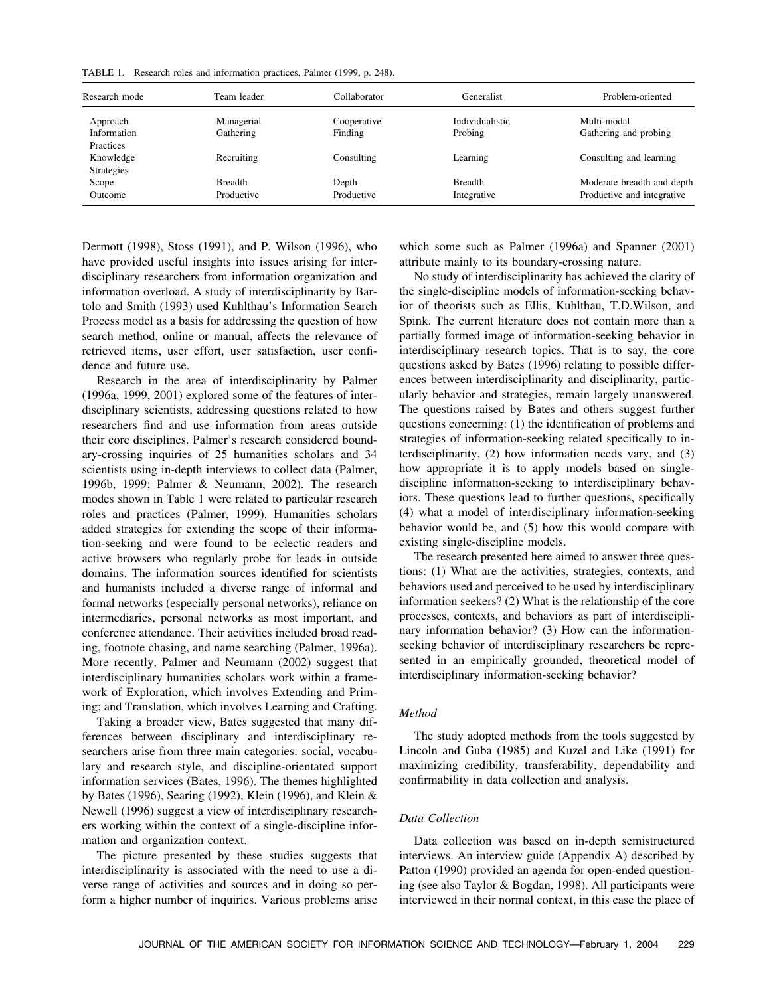TABLE 1. Research roles and information practices, Palmer (1999, p. 248).

| Research mode     | Team leader    | Collaborator | <b>Generalist</b> | Problem-oriented           |
|-------------------|----------------|--------------|-------------------|----------------------------|
| Approach          | Managerial     | Cooperative  | Individualistic   | Multi-modal                |
| Information       | Gathering      | Finding      | Probing           | Gathering and probing      |
| Practices         |                |              |                   |                            |
| Knowledge         | Recruiting     | Consulting   | Learning          | Consulting and learning    |
| <b>Strategies</b> |                |              |                   |                            |
| Scope             | <b>Breadth</b> | Depth        | <b>Breadth</b>    | Moderate breadth and depth |
| Outcome           | Productive     | Productive   | Integrative       | Productive and integrative |

Dermott (1998), Stoss (1991), and P. Wilson (1996), who have provided useful insights into issues arising for interdisciplinary researchers from information organization and information overload. A study of interdisciplinarity by Bartolo and Smith (1993) used Kuhlthau's Information Search Process model as a basis for addressing the question of how search method, online or manual, affects the relevance of retrieved items, user effort, user satisfaction, user confidence and future use.

Research in the area of interdisciplinarity by Palmer (1996a, 1999, 2001) explored some of the features of interdisciplinary scientists, addressing questions related to how researchers find and use information from areas outside their core disciplines. Palmer's research considered boundary-crossing inquiries of 25 humanities scholars and 34 scientists using in-depth interviews to collect data (Palmer, 1996b, 1999; Palmer & Neumann, 2002). The research modes shown in Table 1 were related to particular research roles and practices (Palmer, 1999). Humanities scholars added strategies for extending the scope of their information-seeking and were found to be eclectic readers and active browsers who regularly probe for leads in outside domains. The information sources identified for scientists and humanists included a diverse range of informal and formal networks (especially personal networks), reliance on intermediaries, personal networks as most important, and conference attendance. Their activities included broad reading, footnote chasing, and name searching (Palmer, 1996a). More recently, Palmer and Neumann (2002) suggest that interdisciplinary humanities scholars work within a framework of Exploration, which involves Extending and Priming; and Translation, which involves Learning and Crafting.

Taking a broader view, Bates suggested that many differences between disciplinary and interdisciplinary researchers arise from three main categories: social, vocabulary and research style, and discipline-orientated support information services (Bates, 1996). The themes highlighted by Bates (1996), Searing (1992), Klein (1996), and Klein & Newell (1996) suggest a view of interdisciplinary researchers working within the context of a single-discipline information and organization context.

The picture presented by these studies suggests that interdisciplinarity is associated with the need to use a diverse range of activities and sources and in doing so perform a higher number of inquiries. Various problems arise

which some such as Palmer (1996a) and Spanner (2001) attribute mainly to its boundary-crossing nature.

No study of interdisciplinarity has achieved the clarity of the single-discipline models of information-seeking behavior of theorists such as Ellis, Kuhlthau, T.D.Wilson, and Spink. The current literature does not contain more than a partially formed image of information-seeking behavior in interdisciplinary research topics. That is to say, the core questions asked by Bates (1996) relating to possible differences between interdisciplinarity and disciplinarity, particularly behavior and strategies, remain largely unanswered. The questions raised by Bates and others suggest further questions concerning: (1) the identification of problems and strategies of information-seeking related specifically to interdisciplinarity, (2) how information needs vary, and (3) how appropriate it is to apply models based on singlediscipline information-seeking to interdisciplinary behaviors. These questions lead to further questions, specifically (4) what a model of interdisciplinary information-seeking behavior would be, and (5) how this would compare with existing single-discipline models.

The research presented here aimed to answer three questions: (1) What are the activities, strategies, contexts, and behaviors used and perceived to be used by interdisciplinary information seekers? (2) What is the relationship of the core processes, contexts, and behaviors as part of interdisciplinary information behavior? (3) How can the informationseeking behavior of interdisciplinary researchers be represented in an empirically grounded, theoretical model of interdisciplinary information-seeking behavior?

#### *Method*

The study adopted methods from the tools suggested by Lincoln and Guba (1985) and Kuzel and Like (1991) for maximizing credibility, transferability, dependability and confirmability in data collection and analysis.

# *Data Collection*

Data collection was based on in-depth semistructured interviews. An interview guide (Appendix A) described by Patton (1990) provided an agenda for open-ended questioning (see also Taylor & Bogdan, 1998). All participants were interviewed in their normal context, in this case the place of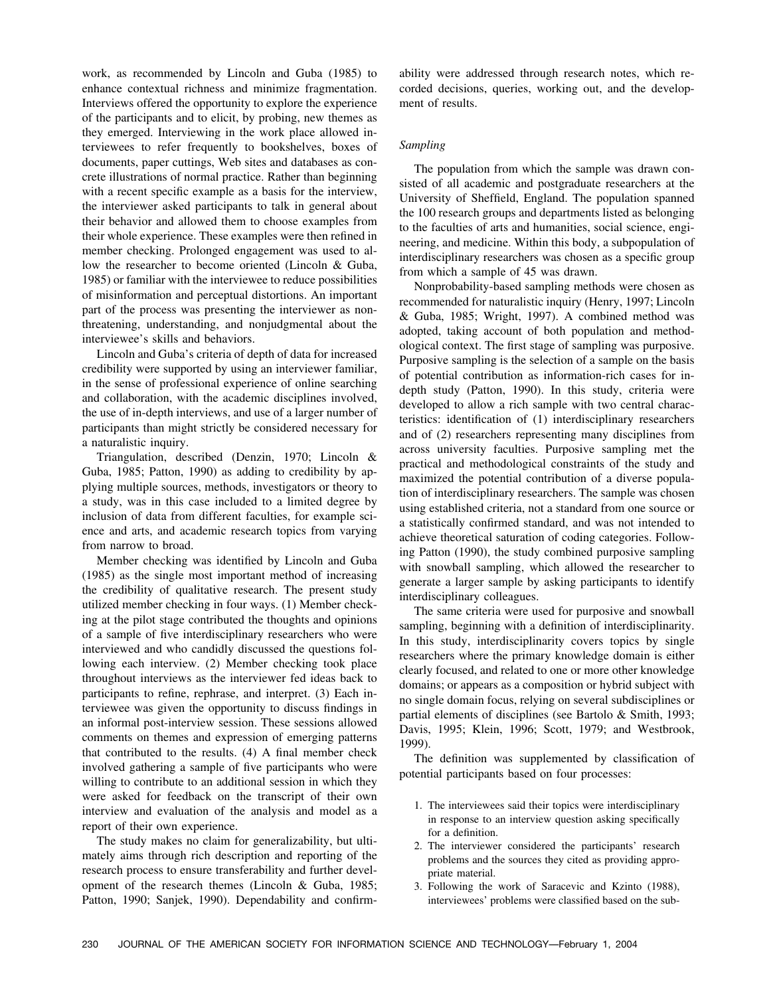work, as recommended by Lincoln and Guba (1985) to enhance contextual richness and minimize fragmentation. Interviews offered the opportunity to explore the experience of the participants and to elicit, by probing, new themes as they emerged. Interviewing in the work place allowed interviewees to refer frequently to bookshelves, boxes of documents, paper cuttings, Web sites and databases as concrete illustrations of normal practice. Rather than beginning with a recent specific example as a basis for the interview, the interviewer asked participants to talk in general about their behavior and allowed them to choose examples from their whole experience. These examples were then refined in member checking. Prolonged engagement was used to allow the researcher to become oriented (Lincoln & Guba, 1985) or familiar with the interviewee to reduce possibilities of misinformation and perceptual distortions. An important part of the process was presenting the interviewer as nonthreatening, understanding, and nonjudgmental about the interviewee's skills and behaviors.

Lincoln and Guba's criteria of depth of data for increased credibility were supported by using an interviewer familiar, in the sense of professional experience of online searching and collaboration, with the academic disciplines involved, the use of in-depth interviews, and use of a larger number of participants than might strictly be considered necessary for a naturalistic inquiry.

Triangulation, described (Denzin, 1970; Lincoln & Guba, 1985; Patton, 1990) as adding to credibility by applying multiple sources, methods, investigators or theory to a study, was in this case included to a limited degree by inclusion of data from different faculties, for example science and arts, and academic research topics from varying from narrow to broad.

Member checking was identified by Lincoln and Guba (1985) as the single most important method of increasing the credibility of qualitative research. The present study utilized member checking in four ways. (1) Member checking at the pilot stage contributed the thoughts and opinions of a sample of five interdisciplinary researchers who were interviewed and who candidly discussed the questions following each interview. (2) Member checking took place throughout interviews as the interviewer fed ideas back to participants to refine, rephrase, and interpret. (3) Each interviewee was given the opportunity to discuss findings in an informal post-interview session. These sessions allowed comments on themes and expression of emerging patterns that contributed to the results. (4) A final member check involved gathering a sample of five participants who were willing to contribute to an additional session in which they were asked for feedback on the transcript of their own interview and evaluation of the analysis and model as a report of their own experience.

The study makes no claim for generalizability, but ultimately aims through rich description and reporting of the research process to ensure transferability and further development of the research themes (Lincoln & Guba, 1985; Patton, 1990; Sanjek, 1990). Dependability and confirmability were addressed through research notes, which recorded decisions, queries, working out, and the development of results.

# *Sampling*

The population from which the sample was drawn consisted of all academic and postgraduate researchers at the University of Sheffield, England. The population spanned the 100 research groups and departments listed as belonging to the faculties of arts and humanities, social science, engineering, and medicine. Within this body, a subpopulation of interdisciplinary researchers was chosen as a specific group from which a sample of 45 was drawn.

Nonprobability-based sampling methods were chosen as recommended for naturalistic inquiry (Henry, 1997; Lincoln & Guba, 1985; Wright, 1997). A combined method was adopted, taking account of both population and methodological context. The first stage of sampling was purposive. Purposive sampling is the selection of a sample on the basis of potential contribution as information-rich cases for indepth study (Patton, 1990). In this study, criteria were developed to allow a rich sample with two central characteristics: identification of (1) interdisciplinary researchers and of (2) researchers representing many disciplines from across university faculties. Purposive sampling met the practical and methodological constraints of the study and maximized the potential contribution of a diverse population of interdisciplinary researchers. The sample was chosen using established criteria, not a standard from one source or a statistically confirmed standard, and was not intended to achieve theoretical saturation of coding categories. Following Patton (1990), the study combined purposive sampling with snowball sampling, which allowed the researcher to generate a larger sample by asking participants to identify interdisciplinary colleagues.

The same criteria were used for purposive and snowball sampling, beginning with a definition of interdisciplinarity. In this study, interdisciplinarity covers topics by single researchers where the primary knowledge domain is either clearly focused, and related to one or more other knowledge domains; or appears as a composition or hybrid subject with no single domain focus, relying on several subdisciplines or partial elements of disciplines (see Bartolo & Smith, 1993; Davis, 1995; Klein, 1996; Scott, 1979; and Westbrook, 1999).

The definition was supplemented by classification of potential participants based on four processes:

- 1. The interviewees said their topics were interdisciplinary in response to an interview question asking specifically for a definition.
- 2. The interviewer considered the participants' research problems and the sources they cited as providing appropriate material.
- 3. Following the work of Saracevic and Kzinto (1988), interviewees' problems were classified based on the sub-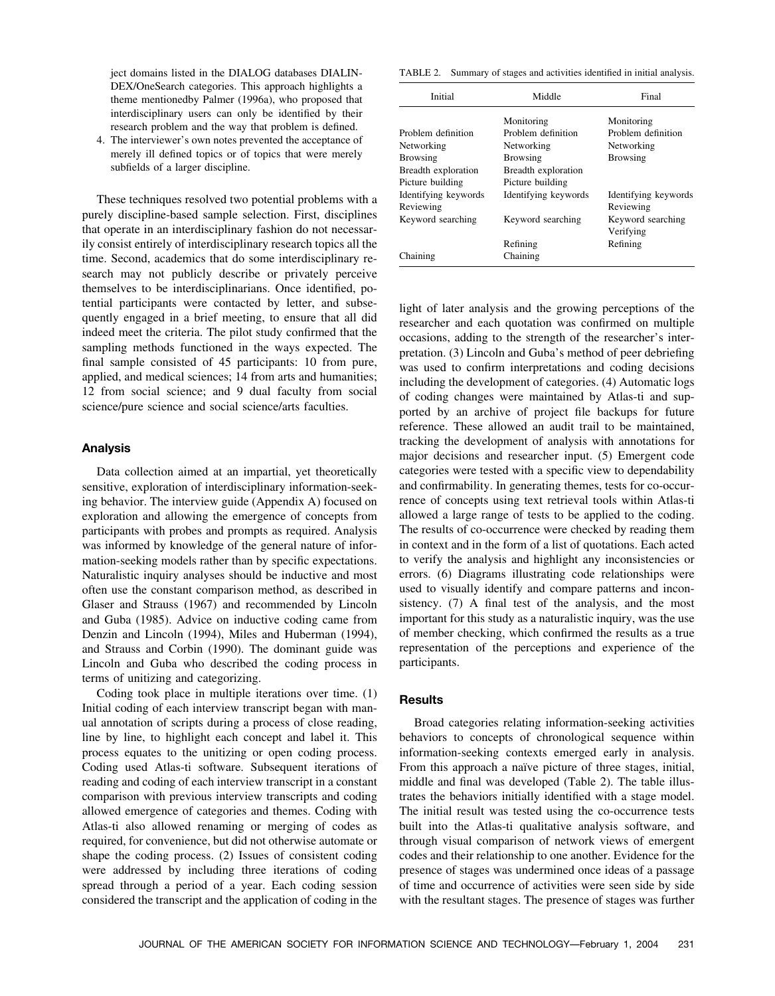ject domains listed in the DIALOG databases DIALIN-DEX/OneSearch categories. This approach highlights a theme mentionedby Palmer (1996a), who proposed that interdisciplinary users can only be identified by their research problem and the way that problem is defined.

4. The interviewer's own notes prevented the acceptance of merely ill defined topics or of topics that were merely subfields of a larger discipline.

These techniques resolved two potential problems with a purely discipline-based sample selection. First, disciplines that operate in an interdisciplinary fashion do not necessarily consist entirely of interdisciplinary research topics all the time. Second, academics that do some interdisciplinary research may not publicly describe or privately perceive themselves to be interdisciplinarians. Once identified, potential participants were contacted by letter, and subsequently engaged in a brief meeting, to ensure that all did indeed meet the criteria. The pilot study confirmed that the sampling methods functioned in the ways expected. The final sample consisted of 45 participants: 10 from pure, applied, and medical sciences; 14 from arts and humanities; 12 from social science; and 9 dual faculty from social science/pure science and social science/arts faculties.

#### **Analysis**

Data collection aimed at an impartial, yet theoretically sensitive, exploration of interdisciplinary information-seeking behavior. The interview guide (Appendix A) focused on exploration and allowing the emergence of concepts from participants with probes and prompts as required. Analysis was informed by knowledge of the general nature of information-seeking models rather than by specific expectations. Naturalistic inquiry analyses should be inductive and most often use the constant comparison method, as described in Glaser and Strauss (1967) and recommended by Lincoln and Guba (1985). Advice on inductive coding came from Denzin and Lincoln (1994), Miles and Huberman (1994), and Strauss and Corbin (1990). The dominant guide was Lincoln and Guba who described the coding process in terms of unitizing and categorizing.

Coding took place in multiple iterations over time. (1) Initial coding of each interview transcript began with manual annotation of scripts during a process of close reading, line by line, to highlight each concept and label it. This process equates to the unitizing or open coding process. Coding used Atlas-ti software. Subsequent iterations of reading and coding of each interview transcript in a constant comparison with previous interview transcripts and coding allowed emergence of categories and themes. Coding with Atlas-ti also allowed renaming or merging of codes as required, for convenience, but did not otherwise automate or shape the coding process. (2) Issues of consistent coding were addressed by including three iterations of coding spread through a period of a year. Each coding session considered the transcript and the application of coding in the

TABLE 2. Summary of stages and activities identified in initial analysis.

| Initial                           | Middle               | Final                             |
|-----------------------------------|----------------------|-----------------------------------|
|                                   | Monitoring           | Monitoring                        |
| Problem definition                | Problem definition   | Problem definition                |
| Networking                        | Networking           | Networking                        |
| Browsing                          | <b>Browsing</b>      | Browsing                          |
| Breadth exploration               | Breadth exploration  |                                   |
| Picture building                  | Picture building     |                                   |
| Identifying keywords<br>Reviewing | Identifying keywords | Identifying keywords<br>Reviewing |
| Keyword searching                 | Keyword searching    | Keyword searching<br>Verifying    |
|                                   | Refining             | Refining                          |
| Chaining                          | Chaining             |                                   |

light of later analysis and the growing perceptions of the researcher and each quotation was confirmed on multiple occasions, adding to the strength of the researcher's interpretation. (3) Lincoln and Guba's method of peer debriefing was used to confirm interpretations and coding decisions including the development of categories. (4) Automatic logs of coding changes were maintained by Atlas-ti and supported by an archive of project file backups for future reference. These allowed an audit trail to be maintained, tracking the development of analysis with annotations for major decisions and researcher input. (5) Emergent code categories were tested with a specific view to dependability and confirmability. In generating themes, tests for co-occurrence of concepts using text retrieval tools within Atlas-ti allowed a large range of tests to be applied to the coding. The results of co-occurrence were checked by reading them in context and in the form of a list of quotations. Each acted to verify the analysis and highlight any inconsistencies or errors. (6) Diagrams illustrating code relationships were used to visually identify and compare patterns and inconsistency. (7) A final test of the analysis, and the most important for this study as a naturalistic inquiry, was the use of member checking, which confirmed the results as a true representation of the perceptions and experience of the participants.

#### **Results**

Broad categories relating information-seeking activities behaviors to concepts of chronological sequence within information-seeking contexts emerged early in analysis. From this approach a naïve picture of three stages, initial, middle and final was developed (Table 2). The table illustrates the behaviors initially identified with a stage model. The initial result was tested using the co-occurrence tests built into the Atlas-ti qualitative analysis software, and through visual comparison of network views of emergent codes and their relationship to one another. Evidence for the presence of stages was undermined once ideas of a passage of time and occurrence of activities were seen side by side with the resultant stages. The presence of stages was further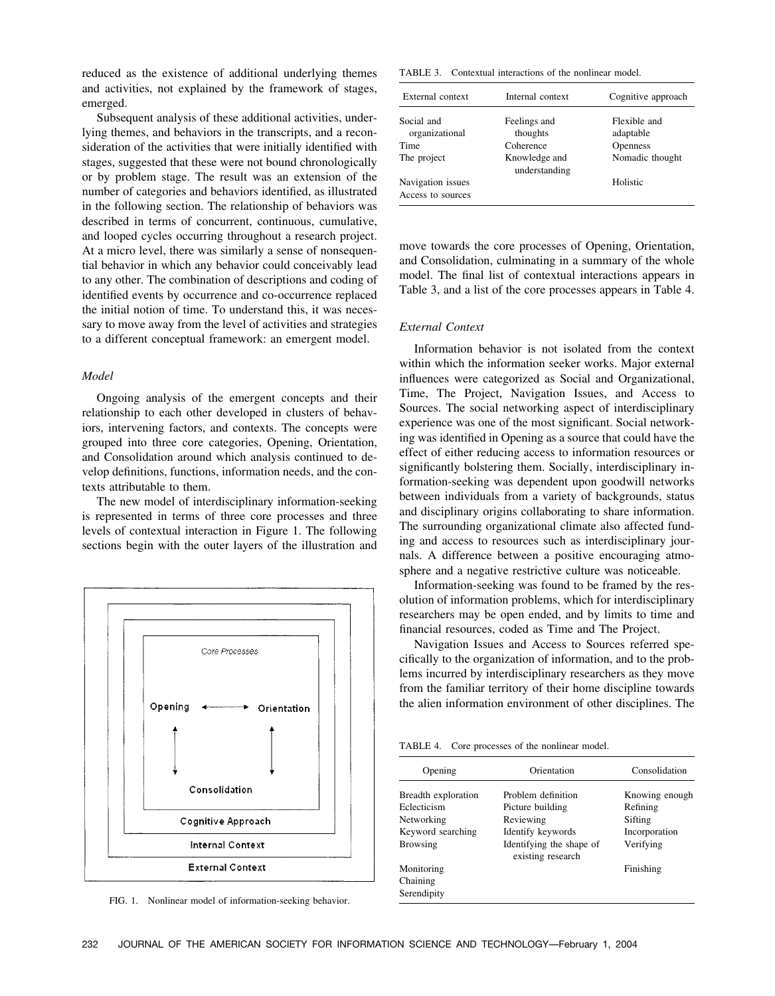reduced as the existence of additional underlying themes and activities, not explained by the framework of stages, emerged.

Subsequent analysis of these additional activities, underlying themes, and behaviors in the transcripts, and a reconsideration of the activities that were initially identified with stages, suggested that these were not bound chronologically or by problem stage. The result was an extension of the number of categories and behaviors identified, as illustrated in the following section. The relationship of behaviors was described in terms of concurrent, continuous, cumulative, and looped cycles occurring throughout a research project. At a micro level, there was similarly a sense of nonsequential behavior in which any behavior could conceivably lead to any other. The combination of descriptions and coding of identified events by occurrence and co-occurrence replaced the initial notion of time. To understand this, it was necessary to move away from the level of activities and strategies to a different conceptual framework: an emergent model.

#### *Model*

Ongoing analysis of the emergent concepts and their relationship to each other developed in clusters of behaviors, intervening factors, and contexts. The concepts were grouped into three core categories, Opening, Orientation, and Consolidation around which analysis continued to develop definitions, functions, information needs, and the contexts attributable to them.

The new model of interdisciplinary information-seeking is represented in terms of three core processes and three levels of contextual interaction in Figure 1. The following sections begin with the outer layers of the illustration and



FIG. 1. Nonlinear model of information-seeking behavior.

TABLE 3. Contextual interactions of the nonlinear model.

| External context                       | Internal context                      | Cognitive approach                           |
|----------------------------------------|---------------------------------------|----------------------------------------------|
| Social and<br>organizational<br>Time   | Feelings and<br>thoughts<br>Coherence | Flexible and<br>adaptable<br><b>Openness</b> |
| The project                            | Knowledge and<br>understanding        | Nomadic thought                              |
| Navigation issues<br>Access to sources |                                       | Holistic                                     |

move towards the core processes of Opening, Orientation, and Consolidation, culminating in a summary of the whole model. The final list of contextual interactions appears in Table 3, and a list of the core processes appears in Table 4.

# *External Context*

Information behavior is not isolated from the context within which the information seeker works. Major external influences were categorized as Social and Organizational, Time, The Project, Navigation Issues, and Access to Sources. The social networking aspect of interdisciplinary experience was one of the most significant. Social networking was identified in Opening as a source that could have the effect of either reducing access to information resources or significantly bolstering them. Socially, interdisciplinary information-seeking was dependent upon goodwill networks between individuals from a variety of backgrounds, status and disciplinary origins collaborating to share information. The surrounding organizational climate also affected funding and access to resources such as interdisciplinary journals. A difference between a positive encouraging atmosphere and a negative restrictive culture was noticeable.

Information-seeking was found to be framed by the resolution of information problems, which for interdisciplinary researchers may be open ended, and by limits to time and financial resources, coded as Time and The Project.

Navigation Issues and Access to Sources referred specifically to the organization of information, and to the problems incurred by interdisciplinary researchers as they move from the familiar territory of their home discipline towards the alien information environment of other disciplines. The

TABLE 4. Core processes of the nonlinear model.

| Orientation                                   | Consolidation    |
|-----------------------------------------------|------------------|
| Problem definition                            | Knowing enough   |
|                                               | Refining         |
| Reviewing                                     | Sifting          |
| Identify keywords                             | Incorporation    |
| Identifying the shape of<br>existing research | Verifying        |
|                                               | Finishing        |
|                                               |                  |
|                                               |                  |
|                                               | Picture building |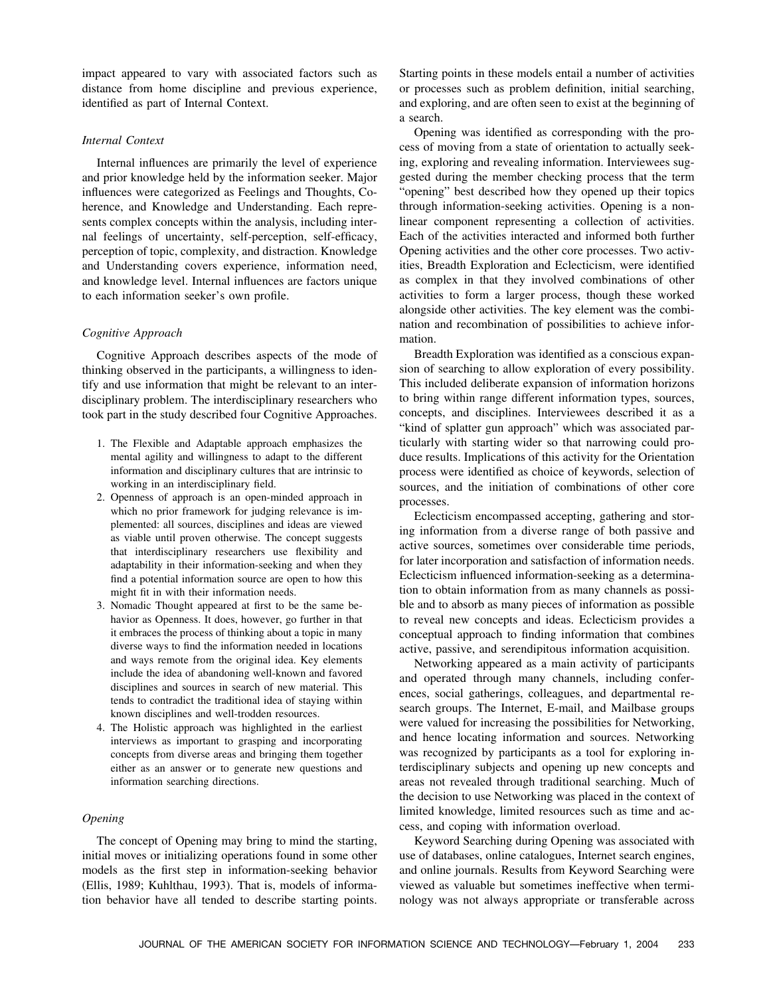impact appeared to vary with associated factors such as distance from home discipline and previous experience, identified as part of Internal Context.

## *Internal Context*

Internal influences are primarily the level of experience and prior knowledge held by the information seeker. Major influences were categorized as Feelings and Thoughts, Coherence, and Knowledge and Understanding. Each represents complex concepts within the analysis, including internal feelings of uncertainty, self-perception, self-efficacy, perception of topic, complexity, and distraction. Knowledge and Understanding covers experience, information need, and knowledge level. Internal influences are factors unique to each information seeker's own profile.

#### *Cognitive Approach*

Cognitive Approach describes aspects of the mode of thinking observed in the participants, a willingness to identify and use information that might be relevant to an interdisciplinary problem. The interdisciplinary researchers who took part in the study described four Cognitive Approaches.

- 1. The Flexible and Adaptable approach emphasizes the mental agility and willingness to adapt to the different information and disciplinary cultures that are intrinsic to working in an interdisciplinary field.
- 2. Openness of approach is an open-minded approach in which no prior framework for judging relevance is implemented: all sources, disciplines and ideas are viewed as viable until proven otherwise. The concept suggests that interdisciplinary researchers use flexibility and adaptability in their information-seeking and when they find a potential information source are open to how this might fit in with their information needs.
- 3. Nomadic Thought appeared at first to be the same behavior as Openness. It does, however, go further in that it embraces the process of thinking about a topic in many diverse ways to find the information needed in locations and ways remote from the original idea. Key elements include the idea of abandoning well-known and favored disciplines and sources in search of new material. This tends to contradict the traditional idea of staying within known disciplines and well-trodden resources.
- 4. The Holistic approach was highlighted in the earliest interviews as important to grasping and incorporating concepts from diverse areas and bringing them together either as an answer or to generate new questions and information searching directions.

#### *Opening*

The concept of Opening may bring to mind the starting, initial moves or initializing operations found in some other models as the first step in information-seeking behavior (Ellis, 1989; Kuhlthau, 1993). That is, models of information behavior have all tended to describe starting points.

Starting points in these models entail a number of activities or processes such as problem definition, initial searching, and exploring, and are often seen to exist at the beginning of a search.

Opening was identified as corresponding with the process of moving from a state of orientation to actually seeking, exploring and revealing information. Interviewees suggested during the member checking process that the term "opening" best described how they opened up their topics through information-seeking activities. Opening is a nonlinear component representing a collection of activities. Each of the activities interacted and informed both further Opening activities and the other core processes. Two activities, Breadth Exploration and Eclecticism, were identified as complex in that they involved combinations of other activities to form a larger process, though these worked alongside other activities. The key element was the combination and recombination of possibilities to achieve information.

Breadth Exploration was identified as a conscious expansion of searching to allow exploration of every possibility. This included deliberate expansion of information horizons to bring within range different information types, sources, concepts, and disciplines. Interviewees described it as a "kind of splatter gun approach" which was associated particularly with starting wider so that narrowing could produce results. Implications of this activity for the Orientation process were identified as choice of keywords, selection of sources, and the initiation of combinations of other core processes.

Eclecticism encompassed accepting, gathering and storing information from a diverse range of both passive and active sources, sometimes over considerable time periods, for later incorporation and satisfaction of information needs. Eclecticism influenced information-seeking as a determination to obtain information from as many channels as possible and to absorb as many pieces of information as possible to reveal new concepts and ideas. Eclecticism provides a conceptual approach to finding information that combines active, passive, and serendipitous information acquisition.

Networking appeared as a main activity of participants and operated through many channels, including conferences, social gatherings, colleagues, and departmental research groups. The Internet, E-mail, and Mailbase groups were valued for increasing the possibilities for Networking, and hence locating information and sources. Networking was recognized by participants as a tool for exploring interdisciplinary subjects and opening up new concepts and areas not revealed through traditional searching. Much of the decision to use Networking was placed in the context of limited knowledge, limited resources such as time and access, and coping with information overload.

Keyword Searching during Opening was associated with use of databases, online catalogues, Internet search engines, and online journals. Results from Keyword Searching were viewed as valuable but sometimes ineffective when terminology was not always appropriate or transferable across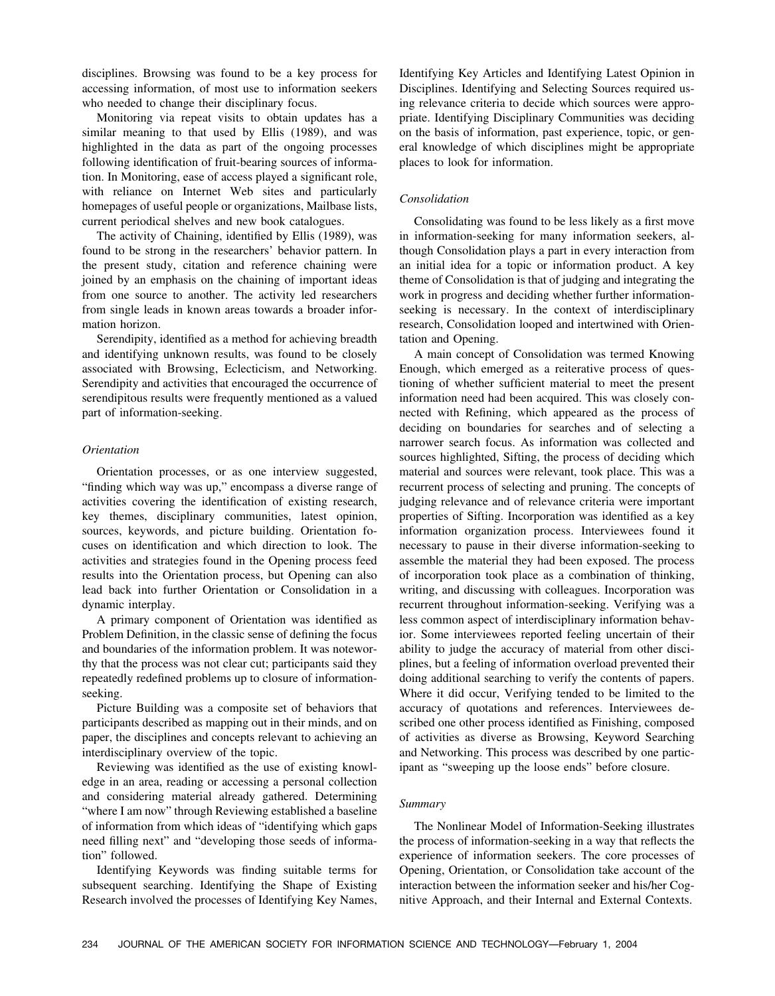disciplines. Browsing was found to be a key process for accessing information, of most use to information seekers who needed to change their disciplinary focus.

Monitoring via repeat visits to obtain updates has a similar meaning to that used by Ellis (1989), and was highlighted in the data as part of the ongoing processes following identification of fruit-bearing sources of information. In Monitoring, ease of access played a significant role, with reliance on Internet Web sites and particularly homepages of useful people or organizations, Mailbase lists, current periodical shelves and new book catalogues.

The activity of Chaining, identified by Ellis (1989), was found to be strong in the researchers' behavior pattern. In the present study, citation and reference chaining were joined by an emphasis on the chaining of important ideas from one source to another. The activity led researchers from single leads in known areas towards a broader information horizon.

Serendipity, identified as a method for achieving breadth and identifying unknown results, was found to be closely associated with Browsing, Eclecticism, and Networking. Serendipity and activities that encouraged the occurrence of serendipitous results were frequently mentioned as a valued part of information-seeking.

## *Orientation*

Orientation processes, or as one interview suggested, "finding which way was up," encompass a diverse range of activities covering the identification of existing research, key themes, disciplinary communities, latest opinion, sources, keywords, and picture building. Orientation focuses on identification and which direction to look. The activities and strategies found in the Opening process feed results into the Orientation process, but Opening can also lead back into further Orientation or Consolidation in a dynamic interplay.

A primary component of Orientation was identified as Problem Definition, in the classic sense of defining the focus and boundaries of the information problem. It was noteworthy that the process was not clear cut; participants said they repeatedly redefined problems up to closure of informationseeking.

Picture Building was a composite set of behaviors that participants described as mapping out in their minds, and on paper, the disciplines and concepts relevant to achieving an interdisciplinary overview of the topic.

Reviewing was identified as the use of existing knowledge in an area, reading or accessing a personal collection and considering material already gathered. Determining "where I am now" through Reviewing established a baseline of information from which ideas of "identifying which gaps need filling next" and "developing those seeds of information" followed.

Identifying Keywords was finding suitable terms for subsequent searching. Identifying the Shape of Existing Research involved the processes of Identifying Key Names,

Identifying Key Articles and Identifying Latest Opinion in Disciplines. Identifying and Selecting Sources required using relevance criteria to decide which sources were appropriate. Identifying Disciplinary Communities was deciding on the basis of information, past experience, topic, or general knowledge of which disciplines might be appropriate places to look for information.

# *Consolidation*

Consolidating was found to be less likely as a first move in information-seeking for many information seekers, although Consolidation plays a part in every interaction from an initial idea for a topic or information product. A key theme of Consolidation is that of judging and integrating the work in progress and deciding whether further informationseeking is necessary. In the context of interdisciplinary research, Consolidation looped and intertwined with Orientation and Opening.

A main concept of Consolidation was termed Knowing Enough, which emerged as a reiterative process of questioning of whether sufficient material to meet the present information need had been acquired. This was closely connected with Refining, which appeared as the process of deciding on boundaries for searches and of selecting a narrower search focus. As information was collected and sources highlighted, Sifting, the process of deciding which material and sources were relevant, took place. This was a recurrent process of selecting and pruning. The concepts of judging relevance and of relevance criteria were important properties of Sifting. Incorporation was identified as a key information organization process. Interviewees found it necessary to pause in their diverse information-seeking to assemble the material they had been exposed. The process of incorporation took place as a combination of thinking, writing, and discussing with colleagues. Incorporation was recurrent throughout information-seeking. Verifying was a less common aspect of interdisciplinary information behavior. Some interviewees reported feeling uncertain of their ability to judge the accuracy of material from other disciplines, but a feeling of information overload prevented their doing additional searching to verify the contents of papers. Where it did occur, Verifying tended to be limited to the accuracy of quotations and references. Interviewees described one other process identified as Finishing, composed of activities as diverse as Browsing, Keyword Searching and Networking. This process was described by one participant as "sweeping up the loose ends" before closure.

# *Summary*

The Nonlinear Model of Information-Seeking illustrates the process of information-seeking in a way that reflects the experience of information seekers. The core processes of Opening, Orientation, or Consolidation take account of the interaction between the information seeker and his/her Cognitive Approach, and their Internal and External Contexts.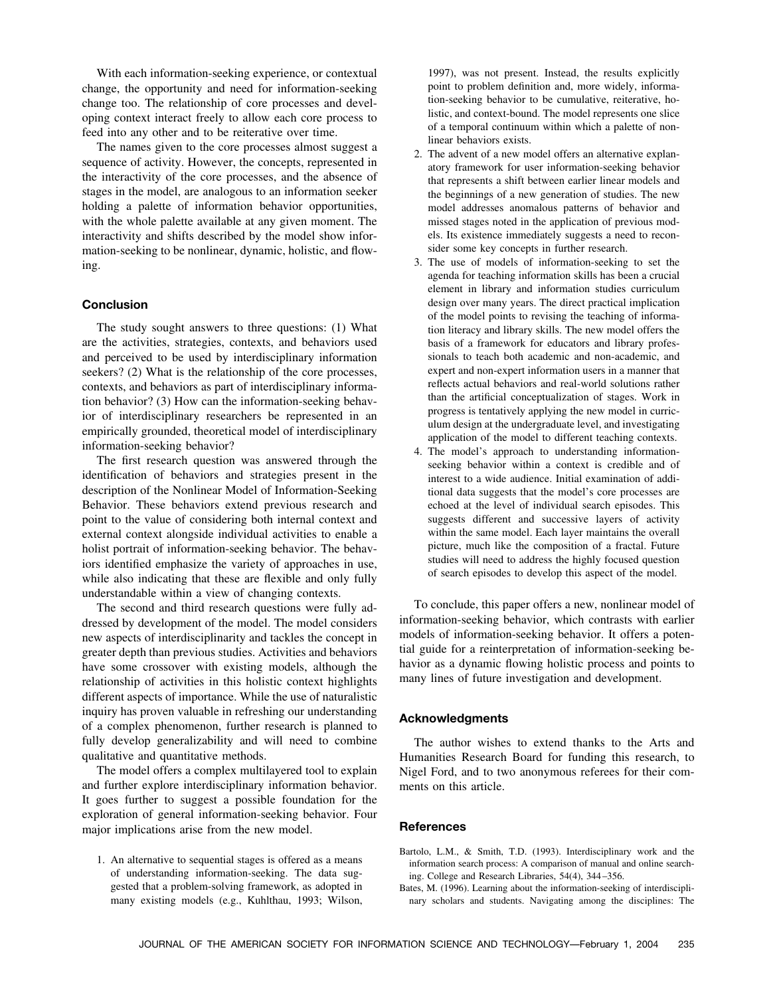With each information-seeking experience, or contextual change, the opportunity and need for information-seeking change too. The relationship of core processes and developing context interact freely to allow each core process to feed into any other and to be reiterative over time.

The names given to the core processes almost suggest a sequence of activity. However, the concepts, represented in the interactivity of the core processes, and the absence of stages in the model, are analogous to an information seeker holding a palette of information behavior opportunities, with the whole palette available at any given moment. The interactivity and shifts described by the model show information-seeking to be nonlinear, dynamic, holistic, and flowing.

# **Conclusion**

The study sought answers to three questions: (1) What are the activities, strategies, contexts, and behaviors used and perceived to be used by interdisciplinary information seekers? (2) What is the relationship of the core processes, contexts, and behaviors as part of interdisciplinary information behavior? (3) How can the information-seeking behavior of interdisciplinary researchers be represented in an empirically grounded, theoretical model of interdisciplinary information-seeking behavior?

The first research question was answered through the identification of behaviors and strategies present in the description of the Nonlinear Model of Information-Seeking Behavior. These behaviors extend previous research and point to the value of considering both internal context and external context alongside individual activities to enable a holist portrait of information-seeking behavior. The behaviors identified emphasize the variety of approaches in use, while also indicating that these are flexible and only fully understandable within a view of changing contexts.

The second and third research questions were fully addressed by development of the model. The model considers new aspects of interdisciplinarity and tackles the concept in greater depth than previous studies. Activities and behaviors have some crossover with existing models, although the relationship of activities in this holistic context highlights different aspects of importance. While the use of naturalistic inquiry has proven valuable in refreshing our understanding of a complex phenomenon, further research is planned to fully develop generalizability and will need to combine qualitative and quantitative methods.

The model offers a complex multilayered tool to explain and further explore interdisciplinary information behavior. It goes further to suggest a possible foundation for the exploration of general information-seeking behavior. Four major implications arise from the new model.

1. An alternative to sequential stages is offered as a means of understanding information-seeking. The data suggested that a problem-solving framework, as adopted in many existing models (e.g., Kuhlthau, 1993; Wilson,

1997), was not present. Instead, the results explicitly point to problem definition and, more widely, information-seeking behavior to be cumulative, reiterative, holistic, and context-bound. The model represents one slice of a temporal continuum within which a palette of nonlinear behaviors exists.

- 2. The advent of a new model offers an alternative explanatory framework for user information-seeking behavior that represents a shift between earlier linear models and the beginnings of a new generation of studies. The new model addresses anomalous patterns of behavior and missed stages noted in the application of previous models. Its existence immediately suggests a need to reconsider some key concepts in further research.
- 3. The use of models of information-seeking to set the agenda for teaching information skills has been a crucial element in library and information studies curriculum design over many years. The direct practical implication of the model points to revising the teaching of information literacy and library skills. The new model offers the basis of a framework for educators and library professionals to teach both academic and non-academic, and expert and non-expert information users in a manner that reflects actual behaviors and real-world solutions rather than the artificial conceptualization of stages. Work in progress is tentatively applying the new model in curriculum design at the undergraduate level, and investigating application of the model to different teaching contexts.
- 4. The model's approach to understanding informationseeking behavior within a context is credible and of interest to a wide audience. Initial examination of additional data suggests that the model's core processes are echoed at the level of individual search episodes. This suggests different and successive layers of activity within the same model. Each layer maintains the overall picture, much like the composition of a fractal. Future studies will need to address the highly focused question of search episodes to develop this aspect of the model.

To conclude, this paper offers a new, nonlinear model of information-seeking behavior, which contrasts with earlier models of information-seeking behavior. It offers a potential guide for a reinterpretation of information-seeking behavior as a dynamic flowing holistic process and points to many lines of future investigation and development.

# **Acknowledgments**

The author wishes to extend thanks to the Arts and Humanities Research Board for funding this research, to Nigel Ford, and to two anonymous referees for their comments on this article.

# **References**

- Bartolo, L.M., & Smith, T.D. (1993). Interdisciplinary work and the information search process: A comparison of manual and online searching. College and Research Libraries, 54(4), 344 –356.
- Bates, M. (1996). Learning about the information-seeking of interdisciplinary scholars and students. Navigating among the disciplines: The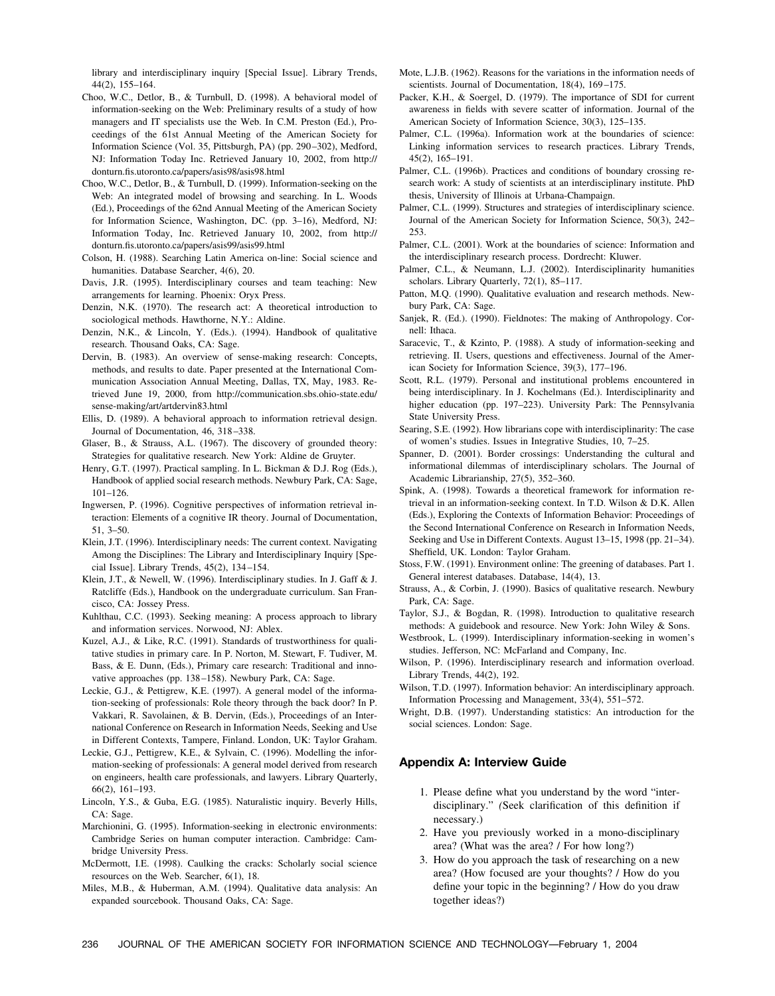library and interdisciplinary inquiry [Special Issue]. Library Trends, 44(2), 155–164.

- Choo, W.C., Detlor, B., & Turnbull, D. (1998). A behavioral model of information-seeking on the Web: Preliminary results of a study of how managers and IT specialists use the Web. In C.M. Preston (Ed.), Proceedings of the 61st Annual Meeting of the American Society for Information Science (Vol. 35, Pittsburgh, PA) (pp. 290 –302), Medford, NJ: Information Today Inc. Retrieved January 10, 2002, from http:// donturn.fis.utoronto.ca/papers/asis98/asis98.html
- Choo, W.C., Detlor, B., & Turnbull, D. (1999). Information-seeking on the Web: An integrated model of browsing and searching. In L. Woods (Ed.), Proceedings of the 62nd Annual Meeting of the American Society for Information Science, Washington, DC. (pp. 3–16), Medford, NJ: Information Today, Inc. Retrieved January 10, 2002, from http:// donturn.fis.utoronto.ca/papers/asis99/asis99.html
- Colson, H. (1988). Searching Latin America on-line: Social science and humanities. Database Searcher, 4(6), 20.
- Davis, J.R. (1995). Interdisciplinary courses and team teaching: New arrangements for learning. Phoenix: Oryx Press.
- Denzin, N.K. (1970). The research act: A theoretical introduction to sociological methods. Hawthorne, N.Y.: Aldine.
- Denzin, N.K., & Lincoln, Y. (Eds.). (1994). Handbook of qualitative research. Thousand Oaks, CA: Sage.
- Dervin, B. (1983). An overview of sense-making research: Concepts, methods, and results to date. Paper presented at the International Communication Association Annual Meeting, Dallas, TX, May, 1983. Retrieved June 19, 2000, from http://communication.sbs.ohio-state.edu/ sense-making/art/artdervin83.html
- Ellis, D. (1989). A behavioral approach to information retrieval design. Journal of Documentation, 46, 318 –338.
- Glaser, B., & Strauss, A.L. (1967). The discovery of grounded theory: Strategies for qualitative research. New York: Aldine de Gruyter.
- Henry, G.T. (1997). Practical sampling. In L. Bickman & D.J. Rog (Eds.), Handbook of applied social research methods. Newbury Park, CA: Sage, 101–126.
- Ingwersen, P. (1996). Cognitive perspectives of information retrieval interaction: Elements of a cognitive IR theory. Journal of Documentation, 51, 3–50.
- Klein, J.T. (1996). Interdisciplinary needs: The current context. Navigating Among the Disciplines: The Library and Interdisciplinary Inquiry [Special Issue]. Library Trends, 45(2), 134 –154.
- Klein, J.T., & Newell, W. (1996). Interdisciplinary studies. In J. Gaff & J. Ratcliffe (Eds.), Handbook on the undergraduate curriculum. San Francisco, CA: Jossey Press.
- Kuhlthau, C.C. (1993). Seeking meaning: A process approach to library and information services. Norwood, NJ: Ablex.
- Kuzel, A.J., & Like, R.C. (1991). Standards of trustworthiness for qualitative studies in primary care. In P. Norton, M. Stewart, F. Tudiver, M. Bass, & E. Dunn, (Eds.), Primary care research: Traditional and innovative approaches (pp. 138 –158). Newbury Park, CA: Sage.
- Leckie, G.J., & Pettigrew, K.E. (1997). A general model of the information-seeking of professionals: Role theory through the back door? In P. Vakkari, R. Savolainen, & B. Dervin, (Eds.), Proceedings of an International Conference on Research in Information Needs, Seeking and Use in Different Contexts, Tampere, Finland. London, UK: Taylor Graham.
- Leckie, G.J., Pettigrew, K.E., & Sylvain, C. (1996). Modelling the information-seeking of professionals: A general model derived from research on engineers, health care professionals, and lawyers. Library Quarterly, 66(2), 161–193.
- Lincoln, Y.S., & Guba, E.G. (1985). Naturalistic inquiry. Beverly Hills, CA: Sage.
- Marchionini, G. (1995). Information-seeking in electronic environments: Cambridge Series on human computer interaction. Cambridge: Cambridge University Press.
- McDermott, I.E. (1998). Caulking the cracks: Scholarly social science resources on the Web. Searcher, 6(1), 18.
- Miles, M.B., & Huberman, A.M. (1994). Qualitative data analysis: An expanded sourcebook. Thousand Oaks, CA: Sage.
- Mote, L.J.B. (1962). Reasons for the variations in the information needs of scientists. Journal of Documentation, 18(4), 169–175.
- Packer, K.H., & Soergel, D. (1979). The importance of SDI for current awareness in fields with severe scatter of information. Journal of the American Society of Information Science, 30(3), 125–135.
- Palmer, C.L. (1996a). Information work at the boundaries of science: Linking information services to research practices. Library Trends, 45(2), 165–191.
- Palmer, C.L. (1996b). Practices and conditions of boundary crossing research work: A study of scientists at an interdisciplinary institute. PhD thesis, University of Illinois at Urbana-Champaign.
- Palmer, C.L. (1999). Structures and strategies of interdisciplinary science. Journal of the American Society for Information Science, 50(3), 242– 253.
- Palmer, C.L. (2001). Work at the boundaries of science: Information and the interdisciplinary research process. Dordrecht: Kluwer.
- Palmer, C.L., & Neumann, L.J. (2002). Interdisciplinarity humanities scholars. Library Quarterly, 72(1), 85–117.
- Patton, M.Q. (1990). Qualitative evaluation and research methods. Newbury Park, CA: Sage.
- Sanjek, R. (Ed.). (1990). Fieldnotes: The making of Anthropology. Cornell: Ithaca.
- Saracevic, T., & Kzinto, P. (1988). A study of information-seeking and retrieving. II. Users, questions and effectiveness. Journal of the American Society for Information Science, 39(3), 177–196.
- Scott, R.L. (1979). Personal and institutional problems encountered in being interdisciplinary. In J. Kochelmans (Ed.). Interdisciplinarity and higher education (pp. 197–223). University Park: The Pennsylvania State University Press.
- Searing, S.E. (1992). How librarians cope with interdisciplinarity: The case of women's studies. Issues in Integrative Studies, 10, 7–25.
- Spanner, D. (2001). Border crossings: Understanding the cultural and informational dilemmas of interdisciplinary scholars. The Journal of Academic Librarianship, 27(5), 352–360.
- Spink, A. (1998). Towards a theoretical framework for information retrieval in an information-seeking context. In T.D. Wilson & D.K. Allen (Eds.), Exploring the Contexts of Information Behavior: Proceedings of the Second International Conference on Research in Information Needs, Seeking and Use in Different Contexts. August 13–15, 1998 (pp. 21–34). Sheffield, UK. London: Taylor Graham.
- Stoss, F.W. (1991). Environment online: The greening of databases. Part 1. General interest databases. Database, 14(4), 13.
- Strauss, A., & Corbin, J. (1990). Basics of qualitative research. Newbury Park, CA: Sage.
- Taylor, S.J., & Bogdan, R. (1998). Introduction to qualitative research methods: A guidebook and resource. New York: John Wiley & Sons.
- Westbrook, L. (1999). Interdisciplinary information-seeking in women's studies. Jefferson, NC: McFarland and Company, Inc.
- Wilson, P. (1996). Interdisciplinary research and information overload. Library Trends, 44(2), 192.
- Wilson, T.D. (1997). Information behavior: An interdisciplinary approach. Information Processing and Management, 33(4), 551–572.
- Wright, D.B. (1997). Understanding statistics: An introduction for the social sciences. London: Sage.

# **Appendix A: Interview Guide**

- 1. Please define what you understand by the word "interdisciplinary." *(*Seek clarification of this definition if necessary.)
- 2. Have you previously worked in a mono-disciplinary area? (What was the area? / For how long?)
- 3. How do you approach the task of researching on a new area? (How focused are your thoughts? / How do you define your topic in the beginning? / How do you draw together ideas?)